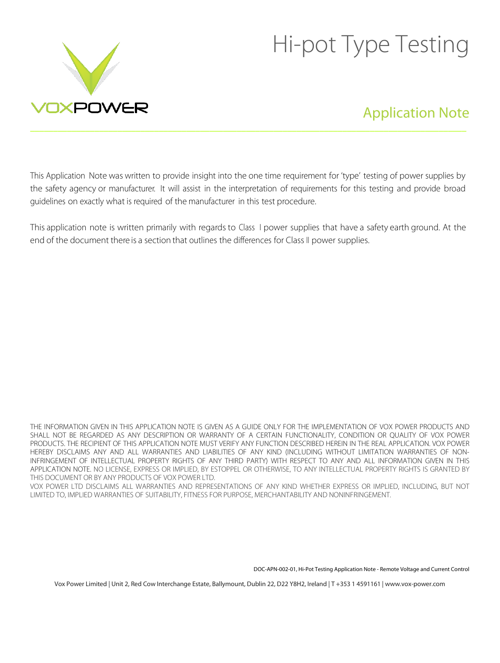

# Hi-pot Type Testing

# Application Note

This Application Note was written to provide insight into the one time requirement for 'type' testing of power supplies by the safety agency or manufacturer. It will assist in the interpretation of requirements for this testing and provide broad guidelines on exactly what is required of the manufacturer in this test procedure.

\_\_\_\_\_\_\_\_\_\_\_\_\_\_\_\_\_\_\_\_\_\_\_\_\_\_\_\_\_\_\_\_\_\_\_\_\_\_\_\_\_\_\_\_\_\_\_\_\_\_\_\_\_\_\_\_\_\_\_\_\_\_\_\_\_\_\_\_\_\_\_\_\_\_\_\_\_\_\_\_\_\_\_\_\_\_\_\_\_\_\_\_\_\_\_

This application note is written primarily with regards to Class I power supplies that have a safety earth ground. At the end of the document there is a section that outlines the differences for Class II power supplies.

THE INFORMATION GIVEN IN THIS APPLICATION NOTE IS GIVEN AS A GUIDE ONLY FOR THE IMPLEMENTATION OF VOX POWER PRODUCTS AND SHALL NOT BE REGARDED AS ANY DESCRIPTION OR WARRANTY OF A CERTAIN FUNCTIONALITY, CONDITION OR QUALITY OF VOX POWER PRODUCTS. THE RECIPIENT OF THIS APPLICATION NOTE MUST VERIFY ANY FUNCTION DESCRIBED HEREIN IN THE REAL APPLICATION. VOX POWER HEREBY DISCLAIMS ANY AND ALL WARRANTIES AND LIABILITIES OF ANY KIND (INCLUDING WITHOUT LIMITATION WARRANTIES OF NON-INFRINGEMENT OF INTELLECTUAL PROPERTY RIGHTS OF ANY THIRD PARTY) WITH RESPECT TO ANY AND ALL INFORMATION GIVEN IN THIS APPLICATION NOTE. NO LICENSE, EXPRESS OR IMPLIED, BY ESTOPPEL OR OTHERWISE, TO ANY INTELLECTUAL PROPERTY RIGHTS IS GRANTED BY THIS DOCUMENT OR BY ANY PRODUCTS OF VOX POWER LTD.

VOX POWER LTD DISCLAIMS ALL WARRANTIES AND REPRESENTATIONS OF ANY KIND WHETHER EXPRESS OR IMPLIED, INCLUDING, BUT NOT LIMITED TO, IMPLIED WARRANTIES OF SUITABILITY, FITNESS FOR PURPOSE, MERCHANTABILITY AND NONINFRINGEMENT.

DOC-APN-002-01, Hi-Pot Testing Application Note - Remote Voltage and Current Control

Vox Power Limited | Unit 2, Red Cow Interchange Estate, Ballymount, Dublin 22, D22 Y8H2, Ireland | T +353 1 4591161 | www.vox-power.com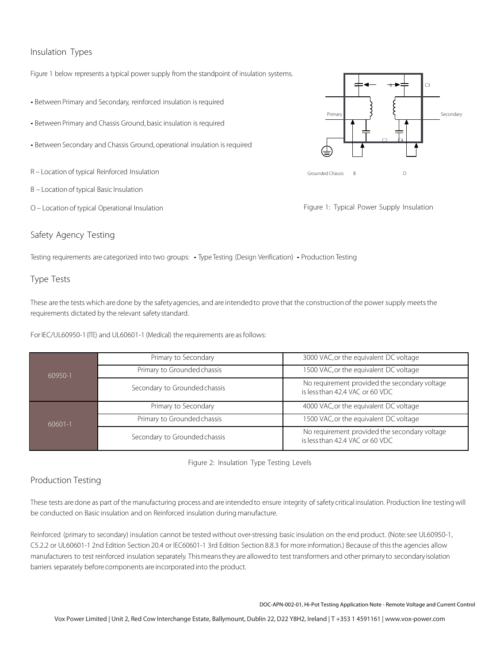# Insulation Types

Figure 1 below represents a typical power supply from the standpoint of insulation systems.

- Between Primary and Secondary, reinforced insulation is required
- Between Primary and Chassis Ground, basic insulation is required
- Between Secondary and Chassis Ground, operational insulation is required
- R Location of typical Reinforced Insulation
- B Location of typical Basic Insulation
- O Location of typical Operational Insulation

## Safety Agency Testing

Testing requirements are categorized into two groups: • Type Testing (Design Verification) • Production Testing

## Type Tests

These are the tests which are done by the safety agencies, and are intended to prove that the construction of the power supply meets the requirements dictated by the relevant safety standard.

For IEC/UL60950-1 (ITE) and UL60601-1 (Medical) the requirements are as follows:

| 60950-1 | Primary to Secondary          | 3000 VAC, or the equivalent DC voltage                                           |
|---------|-------------------------------|----------------------------------------------------------------------------------|
|         | Primary to Grounded chassis   | 1500 VAC, or the equivalent DC voltage                                           |
|         | Secondary to Grounded chassis | No requirement provided the secondary voltage<br>is less than 42.4 VAC or 60 VDC |
| 60601-1 | Primary to Secondary          | 4000 VAC, or the equivalent DC voltage                                           |
|         | Primary to Grounded chassis   | 1500 VAC, or the equivalent DC voltage                                           |
|         | Secondary to Grounded chassis | No requirement provided the secondary voltage<br>is less than 42.4 VAC or 60 VDC |

Figure 2: Insulation Type Testing Levels

# Production Testing

These tests are done as part of the manufacturing process and are intendedto ensure integrity of safety critical insulation. Production line testing will be conducted on Basic insulation and on Reinforced insulation during manufacture.

Reinforced (primary to secondary) insulation cannot be tested without over-stressing basic insulation on the end product. (Note:see UL60950-1, C5.2.2 or UL60601-1 2nd Edition Section 20.4 or IEC60601-1 3rd Edition Section 8.8.3 for more information.) Because of thisthe agencies allow manufacturers to test reinforced insulation separately. Thismeansthey are allowedto test transformers and other primaryto secondaryisolation barriers separately before components are incorporatedinto the product.

DOC-APN-002-01, Hi-Pot Testing Application Note - Remote Voltage and Current Control

Vox Power Limited | Unit 2, Red Cow Interchange Estate, Ballymount, Dublin 22, D22 Y8H2, Ireland | T +353 1 4591161 | www.vox-power.com



Figure 1: Typical Power Supply Insulation